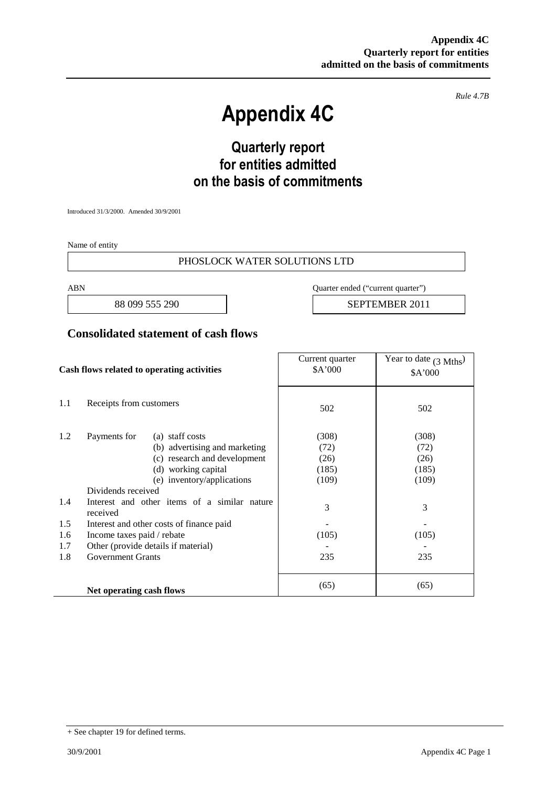*Rule 4.7B*

# **Appendix 4C**

# **Quarterly report for entities admitted on the basis of commitments**

Introduced 31/3/2000. Amended 30/9/2001

Name of entity

#### PHOSLOCK WATER SOLUTIONS LTD

ABN Quarter ended ("current quarter")

88 099 555 290 | SEPTEMBER 2011

#### **Consolidated statement of cash flows**

| Cash flows related to operating activities |                                                          | Current quarter<br>\$A'000          | Year to date $(3 \text{ Mths})$<br>\$A'000 |       |
|--------------------------------------------|----------------------------------------------------------|-------------------------------------|--------------------------------------------|-------|
| 1.1                                        | Receipts from customers                                  |                                     | 502                                        | 502   |
| 1.2                                        | Payments for                                             | (a) staff costs                     | (308)                                      | (308) |
|                                            |                                                          | (b) advertising and marketing       | (72)                                       | (72)  |
|                                            |                                                          | (c) research and development        | (26)                                       | (26)  |
|                                            |                                                          | (d) working capital                 | (185)                                      | (185) |
|                                            |                                                          | (e) inventory/applications          | (109)                                      | (109) |
|                                            | Dividends received                                       |                                     |                                            |       |
| 1.4                                        | Interest and other items of a similar nature<br>received |                                     | 3                                          | 3     |
| 1.5                                        | Interest and other costs of finance paid                 |                                     |                                            |       |
| 1.6                                        | Income taxes paid / rebate                               |                                     | (105)                                      | (105) |
| 1.7                                        |                                                          | Other (provide details if material) |                                            |       |
| 1.8                                        | <b>Government Grants</b>                                 |                                     | 235                                        | 235   |
|                                            | Net operating cash flows                                 |                                     | (65)                                       | (65)  |

<sup>+</sup> See chapter 19 for defined terms.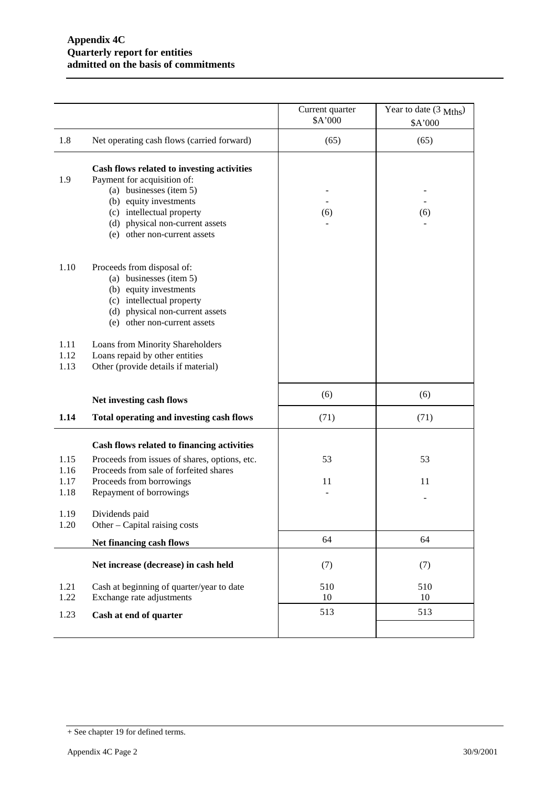|                              |                                                                                                                                                                                                                                | Current quarter<br>\$A'000 | Year to date $(3 \text{ Mths})$<br>\$A'000 |
|------------------------------|--------------------------------------------------------------------------------------------------------------------------------------------------------------------------------------------------------------------------------|----------------------------|--------------------------------------------|
| 1.8                          | Net operating cash flows (carried forward)                                                                                                                                                                                     | (65)                       | (65)                                       |
| 1.9                          | Cash flows related to investing activities<br>Payment for acquisition of:<br>(a) businesses (item 5)<br>(b) equity investments<br>(c) intellectual property<br>(d) physical non-current assets<br>(e) other non-current assets | (6)                        | (6)                                        |
| 1.10                         | Proceeds from disposal of:<br>(a) businesses (item 5)<br>(b) equity investments<br>(c) intellectual property<br>(d) physical non-current assets<br>(e) other non-current assets                                                |                            |                                            |
| 1.11<br>1.12<br>1.13         | Loans from Minority Shareholders<br>Loans repaid by other entities<br>Other (provide details if material)                                                                                                                      |                            |                                            |
|                              | Net investing cash flows                                                                                                                                                                                                       | (6)                        | (6)                                        |
| 1.14                         | Total operating and investing cash flows                                                                                                                                                                                       | (71)                       | (71)                                       |
| 1.15<br>1.16<br>1.17<br>1.18 | Cash flows related to financing activities<br>Proceeds from issues of shares, options, etc.<br>Proceeds from sale of forfeited shares<br>Proceeds from borrowings<br>Repayment of borrowings                                   | 53<br>11                   | 53<br>11                                   |
| 1.19<br>1.20                 | Dividends paid<br>Other – Capital raising costs                                                                                                                                                                                |                            |                                            |
|                              | Net financing cash flows                                                                                                                                                                                                       | 64                         | 64                                         |
|                              | Net increase (decrease) in cash held                                                                                                                                                                                           | (7)                        | (7)                                        |
| 1.21<br>1.22                 | Cash at beginning of quarter/year to date<br>Exchange rate adjustments                                                                                                                                                         | 510<br>10                  | 510<br>10                                  |
| 1.23                         | Cash at end of quarter                                                                                                                                                                                                         | 513                        | 513                                        |
|                              |                                                                                                                                                                                                                                |                            |                                            |

<sup>+</sup> See chapter 19 for defined terms.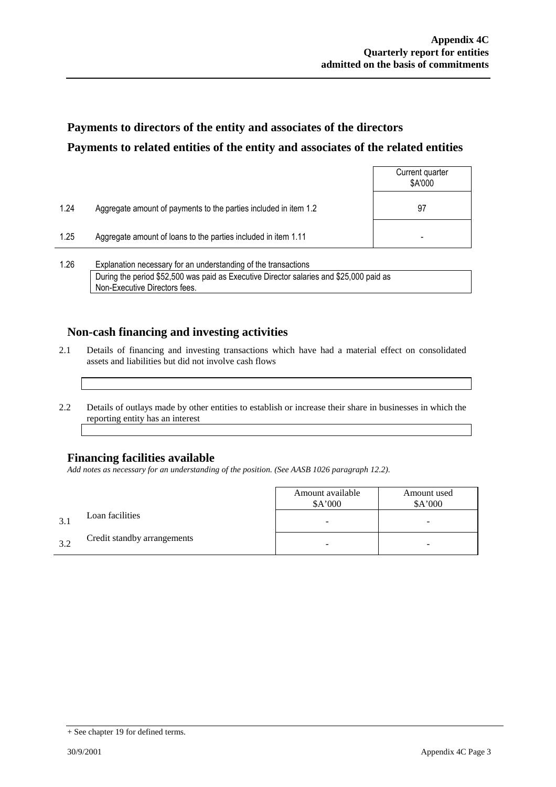## **Payments to directors of the entity and associates of the directors Payments to related entities of the entity and associates of the related entities**

|      |                                                                  | Current quarter<br>\$A'000 |
|------|------------------------------------------------------------------|----------------------------|
| 1.24 | Aggregate amount of payments to the parties included in item 1.2 | 97                         |
| 1.25 | Aggregate amount of loans to the parties included in item 1.11   | $\overline{\phantom{0}}$   |
|      |                                                                  |                            |

1.26 Explanation necessary for an understanding of the transactions During the period \$52,500 was paid as Executive Director salaries and \$25,000 paid as Non-Executive Directors fees.

### **Non-cash financing and investing activities**

- 2.1 Details of financing and investing transactions which have had a material effect on consolidated assets and liabilities but did not involve cash flows
- 2.2 Details of outlays made by other entities to establish or increase their share in businesses in which the reporting entity has an interest

### **Financing facilities available**

*Add notes as necessary for an understanding of the position. (See AASB 1026 paragraph 12.2).*

|              |                             | Amount available<br>\$A'000 | Amount used<br>\$A'000 |
|--------------|-----------------------------|-----------------------------|------------------------|
| $\mathbf{R}$ | Loan facilities             | -                           | -                      |
| 32           | Credit standby arrangements |                             | -                      |

<sup>+</sup> See chapter 19 for defined terms.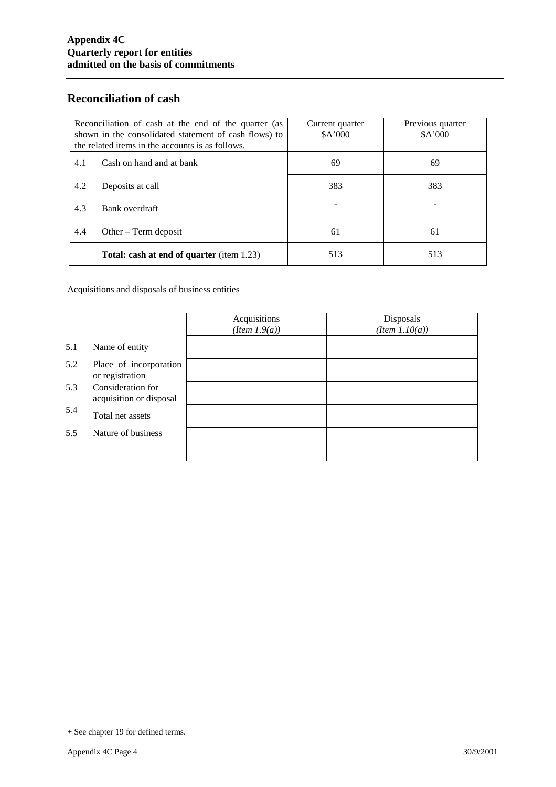### **Reconciliation of cash**

| Reconciliation of cash at the end of the quarter (as<br>shown in the consolidated statement of cash flows) to<br>the related items in the accounts is as follows. |                                                  | Current quarter<br>\$A'000 | Previous quarter<br>\$A'000 |
|-------------------------------------------------------------------------------------------------------------------------------------------------------------------|--------------------------------------------------|----------------------------|-----------------------------|
| 4.1                                                                                                                                                               | Cash on hand and at bank                         | 69                         | 69                          |
| 4.2                                                                                                                                                               | Deposits at call                                 | 383                        | 383                         |
| 4.3                                                                                                                                                               | Bank overdraft                                   |                            |                             |
| 4.4                                                                                                                                                               | Other $-$ Term deposit                           | 61                         | 61                          |
|                                                                                                                                                                   | <b>Total: cash at end of quarter</b> (item 1.23) | 513                        | 513                         |

Acquisitions and disposals of business entities

|     |                                              | Acquisitions<br>(Item 1.9(a)) | Disposals<br>$(Item\ 1.10(a))$ |
|-----|----------------------------------------------|-------------------------------|--------------------------------|
| 5.1 | Name of entity                               |                               |                                |
| 5.2 | Place of incorporation<br>or registration    |                               |                                |
| 5.3 | Consideration for<br>acquisition or disposal |                               |                                |
| 5.4 | Total net assets                             |                               |                                |
| 5.5 | Nature of business                           |                               |                                |
|     |                                              |                               |                                |

<sup>+</sup> See chapter 19 for defined terms.